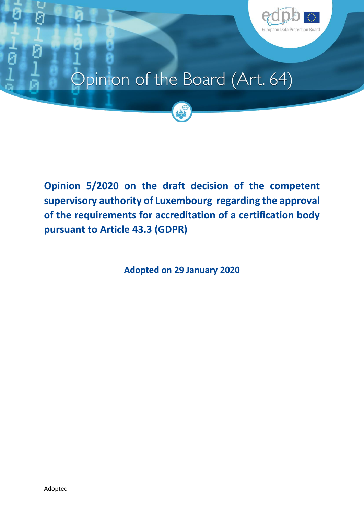

# Opinion of the Board (Art. 64)



**Opinion 5/2020 on the draft decision of the competent supervisory authority of Luxembourg regarding the approval of the requirements for accreditation of a certification body pursuant to Article 43.3 (GDPR)**

**Adopted on 29 January 2020**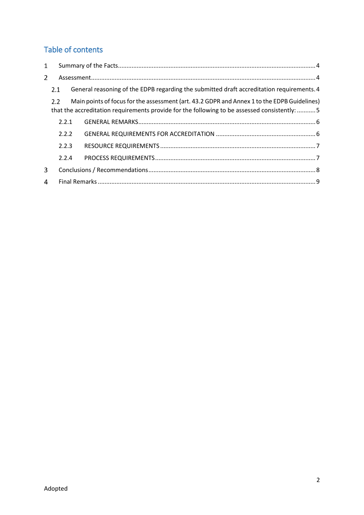# Table of contents

| 1              |       |                                                                                                                                                                                              |  |  |
|----------------|-------|----------------------------------------------------------------------------------------------------------------------------------------------------------------------------------------------|--|--|
| $\overline{2}$ |       |                                                                                                                                                                                              |  |  |
|                | 2.1   | General reasoning of the EDPB regarding the submitted draft accreditation requirements. 4                                                                                                    |  |  |
|                | 2.2   | Main points of focus for the assessment (art. 43.2 GDPR and Annex 1 to the EDPB Guidelines)<br>that the accreditation requirements provide for the following to be assessed consistently:  5 |  |  |
|                | 2.2.1 |                                                                                                                                                                                              |  |  |
|                | 2.2.2 |                                                                                                                                                                                              |  |  |
|                | 2.2.3 |                                                                                                                                                                                              |  |  |
|                | 2.2.4 |                                                                                                                                                                                              |  |  |
| 3              |       |                                                                                                                                                                                              |  |  |
| 4              |       |                                                                                                                                                                                              |  |  |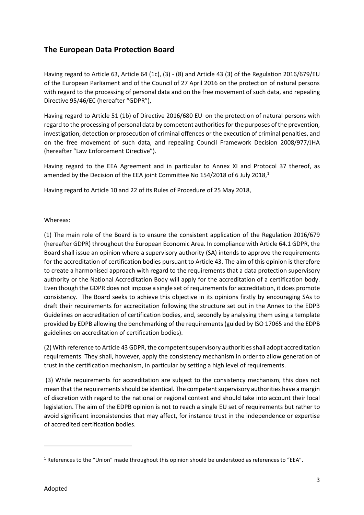## **The European Data Protection Board**

Having regard to Article 63, Article 64 (1c), (3) - (8) and Article 43 (3) of the Regulation 2016/679/EU of the European Parliament and of the Council of 27 April 2016 on the protection of natural persons with regard to the processing of personal data and on the free movement of such data, and repealing Directive 95/46/EC (hereafter "GDPR"),

Having regard to Article 51 (1b) of Directive 2016/680 EU on the protection of natural persons with regard to the processing of personal data by competent authorities for the purposes of the prevention, investigation, detection or prosecution of criminal offences or the execution of criminal penalties, and on the free movement of such data, and repealing Council Framework Decision 2008/977/JHA (hereafter "Law Enforcement Directive").

Having regard to the EEA Agreement and in particular to Annex XI and Protocol 37 thereof, as amended by the Decision of the EEA joint Committee No 154/2018 of 6 July 2018,<sup>1</sup>

Having regard to Article 10 and 22 of its Rules of Procedure of 25 May 2018,

Whereas:

(1) The main role of the Board is to ensure the consistent application of the Regulation 2016/679 (hereafter GDPR) throughout the European Economic Area. In compliance with Article 64.1 GDPR, the Board shall issue an opinion where a supervisory authority (SA) intends to approve the requirements for the accreditation of certification bodies pursuant to Article 43. The aim of this opinion is therefore to create a harmonised approach with regard to the requirements that a data protection supervisory authority or the National Accreditation Body will apply for the accreditation of a certification body. Even though the GDPR does not impose a single set of requirementsfor accreditation, it does promote consistency. The Board seeks to achieve this objective in its opinions firstly by encouraging SAs to draft their requirements for accreditation following the structure set out in the Annex to the EDPB Guidelines on accreditation of certification bodies, and, secondly by analysing them using a template provided by EDPB allowing the benchmarking of the requirements(guided by ISO 17065 and the EDPB guidelines on accreditation of certification bodies).

(2) With reference to Article 43 GDPR, the competent supervisory authorities shall adopt accreditation requirements. They shall, however, apply the consistency mechanism in order to allow generation of trust in the certification mechanism, in particular by setting a high level of requirements.

(3) While requirements for accreditation are subject to the consistency mechanism, this does not mean that the requirements should be identical. The competent supervisory authorities have a margin of discretion with regard to the national or regional context and should take into account their local legislation. The aim of the EDPB opinion is not to reach a single EU set of requirements but rather to avoid significant inconsistencies that may affect, for instance trust in the independence or expertise of accredited certification bodies.

**.** 

 $1$  References to the "Union" made throughout this opinion should be understood as references to "EEA".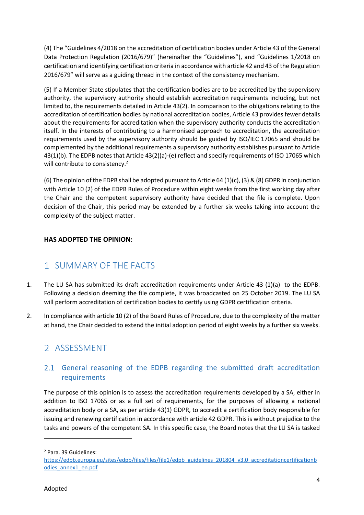(4) The "Guidelines 4/2018 on the accreditation of certification bodies under Article 43 of the General Data Protection Regulation (2016/679)" (hereinafter the "Guidelines"), and "Guidelines 1/2018 on certification and identifying certification criteria in accordance with article 42 and 43 of the Regulation 2016/679" will serve as a guiding thread in the context of the consistency mechanism.

(5) If a Member State stipulates that the certification bodies are to be accredited by the supervisory authority, the supervisory authority should establish accreditation requirements including, but not limited to, the requirements detailed in Article 43(2). In comparison to the obligations relating to the accreditation of certification bodies by national accreditation bodies, Article 43 provides fewer details about the requirements for accreditation when the supervisory authority conducts the accreditation itself. In the interests of contributing to a harmonised approach to accreditation, the accreditation requirements used by the supervisory authority should be guided by ISO/IEC 17065 and should be complemented by the additional requirements a supervisory authority establishes pursuant to Article 43(1)(b). The EDPB notes that Article 43(2)(a)-(e) reflect and specify requirements of ISO 17065 which will contribute to consistency.<sup>2</sup>

(6) The opinion of the EDPB shall be adopted pursuant to Article 64 (1)(c), (3) & (8) GDPR in conjunction with Article 10 (2) of the EDPB Rules of Procedure within eight weeks from the first working day after the Chair and the competent supervisory authority have decided that the file is complete. Upon decision of the Chair, this period may be extended by a further six weeks taking into account the complexity of the subject matter.

### **HAS ADOPTED THE OPINION:**

# <span id="page-3-0"></span>SUMMARY OF THE FACTS

- 1. The LU SA has submitted its draft accreditation requirements under Article 43 (1)(a) to the EDPB. Following a decision deeming the file complete, it was broadcasted on 25 October 2019. The LU SA will perform accreditation of certification bodies to certify using GDPR certification criteria.
- 2. In compliance with article 10 (2) of the Board Rules of Procedure, due to the complexity of the matter at hand, the Chair decided to extend the initial adoption period of eight weeks by a further six weeks.

## <span id="page-3-1"></span>2 ASSESSMENT

## <span id="page-3-2"></span>2.1 General reasoning of the EDPB regarding the submitted draft accreditation requirements

The purpose of this opinion is to assess the accreditation requirements developed by a SA, either in addition to ISO 17065 or as a full set of requirements, for the purposes of allowing a national accreditation body or a SA, as per article 43(1) GDPR, to accredit a certification body responsible for issuing and renewing certification in accordance with article 42 GDPR. This is without prejudice to the tasks and powers of the competent SA. In this specific case, the Board notes that the LU SA is tasked

**.** 

<sup>2</sup> Para. 39 Guidelines:

[https://edpb.europa.eu/sites/edpb/files/files/file1/edpb\\_guidelines\\_201804\\_v3.0\\_accreditationcertificationb](https://edpb.europa.eu/sites/edpb/files/files/file1/edpb_guidelines_201804_v3.0_accreditationcertificationbodies_annex1_en.pdf) [odies\\_annex1\\_en.pdf](https://edpb.europa.eu/sites/edpb/files/files/file1/edpb_guidelines_201804_v3.0_accreditationcertificationbodies_annex1_en.pdf)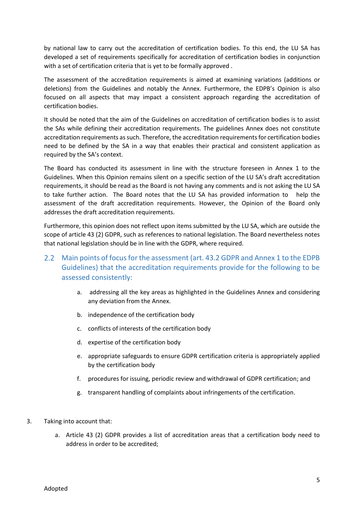by national law to carry out the accreditation of certification bodies. To this end, the LU SA has developed a set of requirements specifically for accreditation of certification bodies in conjunction with a set of certification criteria that is yet to be formally approved .

The assessment of the accreditation requirements is aimed at examining variations (additions or deletions) from the Guidelines and notably the Annex. Furthermore, the EDPB's Opinion is also focused on all aspects that may impact a consistent approach regarding the accreditation of certification bodies.

It should be noted that the aim of the Guidelines on accreditation of certification bodies is to assist the SAs while defining their accreditation requirements. The guidelines Annex does not constitute accreditation requirements as such. Therefore, the accreditation requirements for certification bodies need to be defined by the SA in a way that enables their practical and consistent application as required by the SA's context.

The Board has conducted its assessment in line with the structure foreseen in Annex 1 to the Guidelines. When this Opinion remains silent on a specific section of the LU SA's draft accreditation requirements, it should be read as the Board is not having any comments and is not asking the LU SA to take further action. The Board notes that the LU SA has provided information to help the assessment of the draft accreditation requirements. However, the Opinion of the Board only addresses the draft accreditation requirements.

Furthermore, this opinion does not reflect upon items submitted by the LU SA, which are outside the scope of article 43 (2) GDPR, such as references to national legislation. The Board nevertheless notes that national legislation should be in line with the GDPR, where required.

## <span id="page-4-0"></span>Main points of focus for the assessment (art. 43.2 GDPR and Annex 1 to the EDPB Guidelines) that the accreditation requirements provide for the following to be assessed consistently:

- a. addressing all the key areas as highlighted in the Guidelines Annex and considering any deviation from the Annex.
- b. independence of the certification body
- c. conflicts of interests of the certification body
- d. expertise of the certification body
- e. appropriate safeguards to ensure GDPR certification criteria is appropriately applied by the certification body
- f. procedures for issuing, periodic review and withdrawal of GDPR certification; and
- g. transparent handling of complaints about infringements of the certification.
- 3. Taking into account that:
	- a. Article 43 (2) GDPR provides a list of accreditation areas that a certification body need to address in order to be accredited;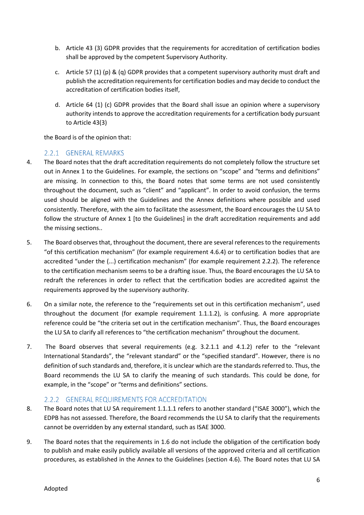- b. Article 43 (3) GDPR provides that the requirements for accreditation of certification bodies shall be approved by the competent Supervisory Authority.
- c. Article 57 (1) (p) & (q) GDPR provides that a competent supervisory authority must draft and publish the accreditation requirements for certification bodies and may decide to conduct the accreditation of certification bodies itself,
- d. Article 64 (1) (c) GDPR provides that the Board shall issue an opinion where a supervisory authority intends to approve the accreditation requirements for a certification body pursuant to Article 43(3)

the Board is of the opinion that:

#### <span id="page-5-0"></span>2.2.1 GENERAL REMARKS

- 4. The Board notes that the draft accreditation requirements do not completely follow the structure set out in Annex 1 to the Guidelines. For example, the sections on "scope" and "terms and definitions" are missing. In connection to this, the Board notes that some terms are not used consistently throughout the document, such as "client" and "applicant". In order to avoid confusion, the terms used should be aligned with the Guidelines and the Annex definitions where possible and used consistently. Therefore, with the aim to facilitate the assessment, the Board encourages the LU SA to follow the structure of Annex 1 [to the Guidelines] in the draft accreditation requirements and add the missing sections..
- 5. The Board observes that, throughout the document, there are several references to the requirements "of this certification mechanism" (for example requirement 4.6.4) or to certification bodies that are accredited "under the (...) certification mechanism" (for example requirement 2.2.2). The reference to the certification mechanism seems to be a drafting issue. Thus, the Board encourages the LU SA to redraft the references in order to reflect that the certification bodies are accredited against the requirements approved by the supervisory authority.
- 6. On a similar note, the reference to the "requirements set out in this certification mechanism", used throughout the document (for example requirement 1.1.1.2), is confusing. A more appropriate reference could be "the criteria set out in the certification mechanism". Thus, the Board encourages the LU SA to clarify all references to "the certification mechanism" throughout the document.
- 7. The Board observes that several requirements (e.g. 3.2.1.1 and 4.1.2) refer to the "relevant International Standards", the "relevant standard" or the "specified standard". However, there is no definition of such standards and, therefore, it is unclear which are the standards referred to. Thus, the Board recommends the LU SA to clarify the meaning of such standards. This could be done, for example, in the "scope" or "terms and definitions" sections.

### <span id="page-5-1"></span>2.2.2 GENERAL REQUIREMENTS FOR ACCREDITATION

- 8. The Board notes that LU SA requirement 1.1.1.1 refers to another standard ("ISAE 3000"), which the EDPB has not assessed. Therefore, the Board recommends the LU SA to clarify that the requirements cannot be overridden by any external standard, such as ISAE 3000.
- 9. The Board notes that the requirements in 1.6 do not include the obligation of the certification body to publish and make easily publicly available all versions of the approved criteria and all certification procedures, as established in the Annex to the Guidelines (section 4.6). The Board notes that LU SA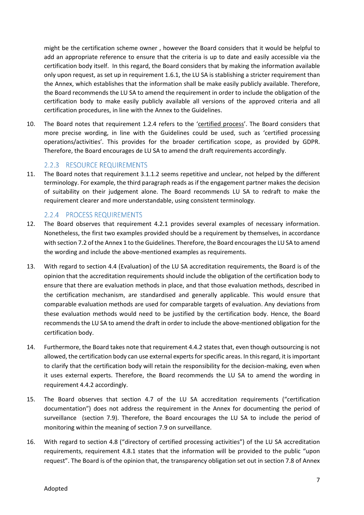might be the certification scheme owner , however the Board considers that it would be helpful to add an appropriate reference to ensure that the criteria is up to date and easily accessible via the certification body itself. In this regard, the Board considers that by making the information available only upon request, as set up in requirement 1.6.1, the LU SA is stablishing a stricter requirement than the Annex, which establishes that the information shall be make easily publicly available. Therefore, the Board recommends the LU SA to amend the requirement in order to include the obligation of the certification body to make easily publicly available all versions of the approved criteria and all certification procedures, in line with the Annex to the Guidelines.

10. The Board notes that requirement 1.2.4 refers to the 'certified process'. The Board considers that more precise wording, in line with the Guidelines could be used, such as 'certified processing operations/activities'. This provides for the broader certification scope, as provided by GDPR. Therefore, the Board encourages de LU SA to amend the draft requirements accordingly.

### <span id="page-6-0"></span>2.2.3 RESOURCE REQUIREMENTS

11. The Board notes that requirement 3.1.1.2 seems repetitive and unclear, not helped by the different terminology. For example, the third paragraph reads as if the engagement partner makes the decision of suitability on their judgement alone. The Board recommends LU SA to redraft to make the requirement clearer and more understandable, using consistent terminology.

#### <span id="page-6-1"></span>2.2.4 PROCESS REQUIREMENTS

- 12. The Board observes that requirement 4.2.1 provides several examples of necessary information. Nonetheless, the first two examples provided should be a requirement by themselves, in accordance with section 7.2 of the Annex 1 to the Guidelines. Therefore, the Board encourages the LU SA to amend the wording and include the above-mentioned examples as requirements.
- 13. With regard to section 4.4 (Evaluation) of the LU SA accreditation requirements, the Board is of the opinion that the accreditation requirements should include the obligation of the certification body to ensure that there are evaluation methods in place, and that those evaluation methods, described in the certification mechanism, are standardised and generally applicable. This would ensure that comparable evaluation methods are used for comparable targets of evaluation. Any deviations from these evaluation methods would need to be justified by the certification body. Hence, the Board recommends the LU SA to amend the draft in order to include the above-mentioned obligation for the certification body.
- 14. Furthermore, the Board takes note that requirement 4.4.2 states that, even though outsourcing is not allowed, the certification body can use external experts for specific areas. In this regard, it is important to clarify that the certification body will retain the responsibility for the decision-making, even when it uses external experts. Therefore, the Board recommends the LU SA to amend the wording in requirement 4.4.2 accordingly.
- 15. The Board observes that section 4.7 of the LU SA accreditation requirements ("certification documentation") does not address the requirement in the Annex for documenting the period of surveillance (section 7.9). Therefore, the Board encourages the LU SA to include the period of monitoring within the meaning of section 7.9 on surveillance.
- 16. With regard to section 4.8 ("directory of certified processing activities") of the LU SA accreditation requirements, requirement 4.8.1 states that the information will be provided to the public "upon request". The Board is of the opinion that, the transparency obligation set out in section 7.8 of Annex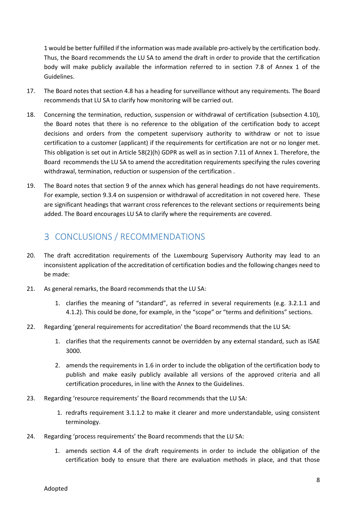1 would be better fulfilled if the information was made available pro-actively by the certification body. Thus, the Board recommends the LU SA to amend the draft in order to provide that the certification body will make publicly available the information referred to in section 7.8 of Annex 1 of the Guidelines.

- 17. The Board notes that section 4.8 has a heading for surveillance without any requirements. The Board recommends that LU SA to clarify how monitoring will be carried out.
- 18. Concerning the termination, reduction, suspension or withdrawal of certification (subsection 4.10), the Board notes that there is no reference to the obligation of the certification body to accept decisions and orders from the competent supervisory authority to withdraw or not to issue certification to a customer (applicant) if the requirements for certification are not or no longer met. This obligation is set out in Article 58(2)(h) GDPR as well as in section 7.11 of Annex 1. Therefore, the Board recommends the LU SA to amend the accreditation requirements specifying the rules covering withdrawal, termination, reduction or suspension of the certification .
- 19. The Board notes that section 9 of the annex which has general headings do not have requirements. For example, section 9.3.4 on suspension or withdrawal of accreditation in not covered here. These are significant headings that warrant cross references to the relevant sections or requirements being added. The Board encourages LU SA to clarify where the requirements are covered.

# <span id="page-7-0"></span>3 CONCLUSIONS / RECOMMENDATIONS

- 20. The draft accreditation requirements of the Luxembourg Supervisory Authority may lead to an inconsistent application of the accreditation of certification bodies and the following changes need to be made:
- 21. As general remarks, the Board recommends that the LU SA:
	- 1. clarifies the meaning of "standard", as referred in several requirements (e.g. 3.2.1.1 and 4.1.2). This could be done, for example, in the "scope" or "terms and definitions" sections.
- 22. Regarding 'general requirements for accreditation' the Board recommends that the LU SA:
	- 1. clarifies that the requirements cannot be overridden by any external standard, such as ISAE 3000.
	- 2. amends the requirements in 1.6 in order to include the obligation of the certification body to publish and make easily publicly available all versions of the approved criteria and all certification procedures, in line with the Annex to the Guidelines.
- 23. Regarding 'resource requirements' the Board recommends that the LU SA:
	- 1. redrafts requirement 3.1.1.2 to make it clearer and more understandable, using consistent terminology.
- 24. Regarding 'process requirements' the Board recommends that the LU SA:
	- 1. amends section 4.4 of the draft requirements in order to include the obligation of the certification body to ensure that there are evaluation methods in place, and that those